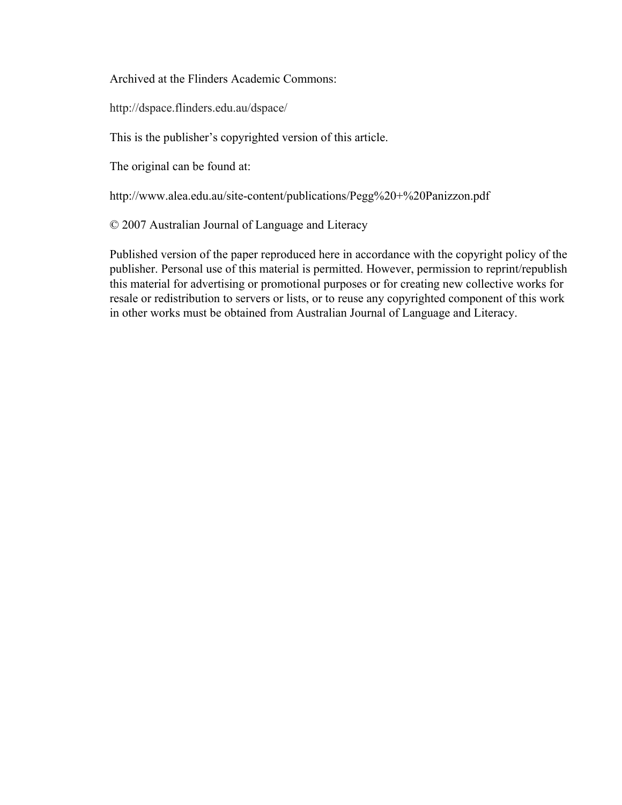Archived at the Flinders Academic Commons:

http://dspace.flinders.edu.au/dspace/

This is the publisher's copyrighted version of this article.

The original can be found at:

http://www.alea.edu.au/site-content/publications/Pegg%20+%20Panizzon.pdf

© 2007 Australian Journal of Language and Literacy

Published version of the paper reproduced here in accordance with the copyright policy of the publisher. Personal use of this material is permitted. However, permission to reprint/republish this material for advertising or promotional purposes or for creating new collective works for resale or redistribution to servers or lists, or to reuse any copyrighted component of this work in other works must be obtained from Australian Journal of Language and Literacy.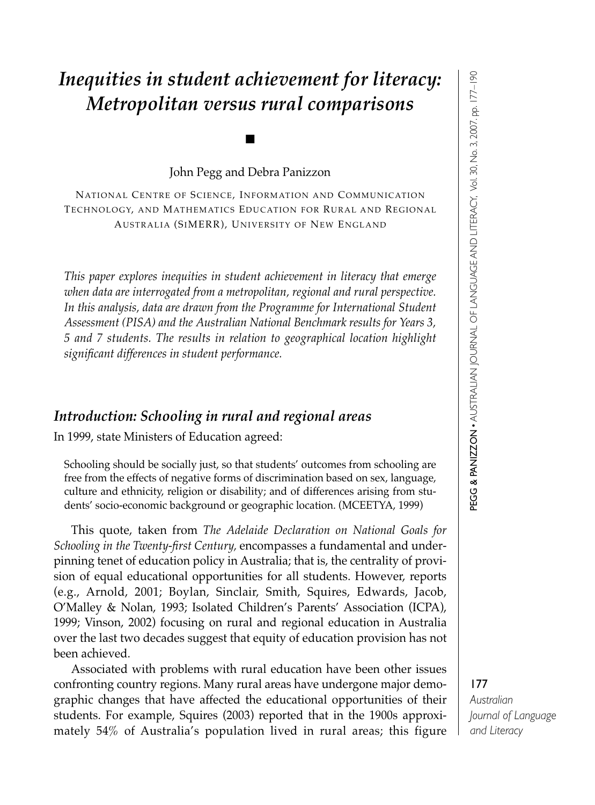### *Inequities in student achievement for literacy: Metropolitan versus rural comparisons*

John Pegg and Debra Panizzon

■

NATIONAL CENTRE OF SCIENCE, INFORMATION AND COMMUNICATION TECHNOLOGY, AND MATHEMATICS EDUCATION FOR RURAL AND REGIONAL AUSTRALIA (SIMERR), UNIVERSITY OF NEW ENGLAND

*This paper explores inequities in student achievement in literacy that emerge when data are interrogated from a metropolitan, regional and rural perspective. In this analysis, data are drawn from the Programme for International Student Assessment (PISA) and the Australian National Benchmark results for Years 3, 5 and 7 students. The results in relation to geographical location highlight significant differences in student performance.* 

#### *Introduction: Schooling in rural and regional areas*

In 1999, state Ministers of Education agreed:

Schooling should be socially just, so that students' outcomes from schooling are free from the effects of negative forms of discrimination based on sex, language, culture and ethnicity, religion or disability; and of differences arising from students' socio-economic background or geographic location. (MCEETYA, 1999)

This quote, taken from *The Adelaide Declaration on National Goals for Schooling in the Twenty-first Century,* encompasses a fundamental and underpinning tenet of education policy in Australia; that is, the centrality of provision of equal educational opportunities for all students. However, reports (e.g., Arnold, 2001; Boylan, Sinclair, Smith, Squires, Edwards, Jacob, O'Malley & Nolan, 1993; Isolated Children's Parents' Association (ICPA), 1999; Vinson, 2002) focusing on rural and regional education in Australia over the last two decades suggest that equity of education provision has not been achieved.

Associated with problems with rural education have been other issues confronting country regions. Many rural areas have undergone major demographic changes that have affected the educational opportunities of their students. For example, Squires (2003) reported that in the 1900s approximately 54% of Australia's population lived in rural areas; this figure PEG G & PA NIZ Z O N • AUSTRALIA Z<br>N JOU<br>Z AL OF LA N GUA GE A N D LITERA CY, Vol. 30, No. 3, 2007. pp. 177–190

### 177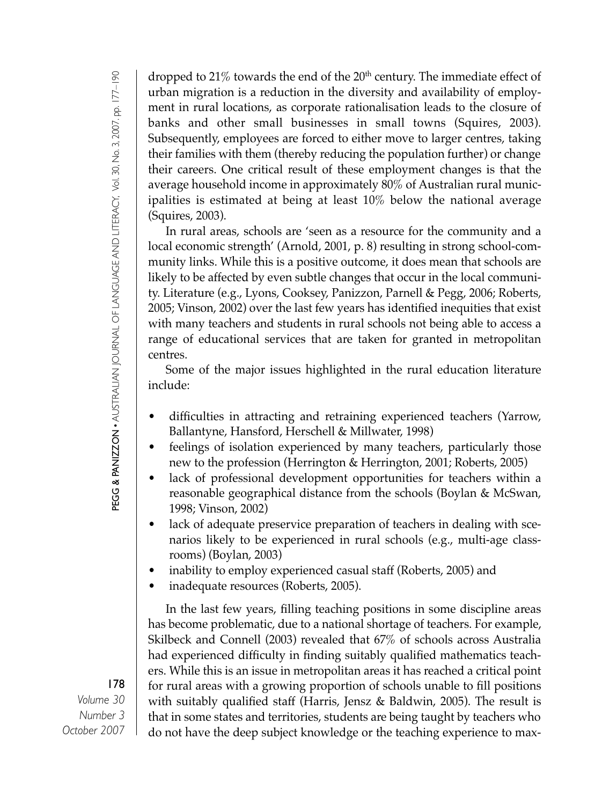dropped to  $21\%$  towards the end of the  $20<sup>th</sup>$  century. The immediate effect of urban migration is a reduction in the diversity and availability of employment in rural locations, as corporate rationalisation leads to the closure of banks and other small businesses in small towns (Squires, 2003). Subsequently, employees are forced to either move to larger centres, taking their families with them (thereby reducing the population further) or change their careers. One critical result of these employment changes is that the average household income in approximately 80% of Australian rural municipalities is estimated at being at least 10% below the national average (Squires, 2003).

In rural areas, schools are 'seen as a resource for the community and a local economic strength' (Arnold, 2001, p. 8) resulting in strong school-community links. While this is a positive outcome, it does mean that schools are likely to be affected by even subtle changes that occur in the local community. Literature (e.g., Lyons, Cooksey, Panizzon, Parnell & Pegg, 2006; Roberts, 2005; Vinson, 2002) over the last few years has identified inequities that exist with many teachers and students in rural schools not being able to access a range of educational services that are taken for granted in metropolitan centres.

Some of the major issues highlighted in the rural education literature include:

- difficulties in attracting and retraining experienced teachers (Yarrow, Ballantyne, Hansford, Herschell & Millwater, 1998)
- feelings of isolation experienced by many teachers, particularly those new to the profession (Herrington & Herrington, 2001; Roberts, 2005)
- lack of professional development opportunities for teachers within a reasonable geographical distance from the schools (Boylan & McSwan, 1998; Vinson, 2002)
- lack of adequate preservice preparation of teachers in dealing with scenarios likely to be experienced in rural schools (e.g., multi-age classrooms) (Boylan, 2003)
- inability to employ experienced casual staff (Roberts, 2005) and
- inadequate resources (Roberts, 2005).

In the last few years, filling teaching positions in some discipline areas has become problematic, due to a national shortage of teachers. For example, Skilbeck and Connell (2003) revealed that 67% of schools across Australia had experienced difficulty in finding suitably qualified mathematics teachers. While this is an issue in metropolitan areas it has reached a critical point for rural areas with a growing proportion of schools unable to fill positions with suitably qualified staff (Harris, Jensz & Baldwin, 2005). The result is that in some states and territories, students are being taught by teachers who do not have the deep subject knowledge or the teaching experience to max-

# PEG G & PA NIZ Z O N • AUSTRALIA Z<br>N JOUR<br>Z AL OF LA N GUA GE A N D LITERA CY, Vol. 30, No. 3, 2007. pp. 177–190

#### 178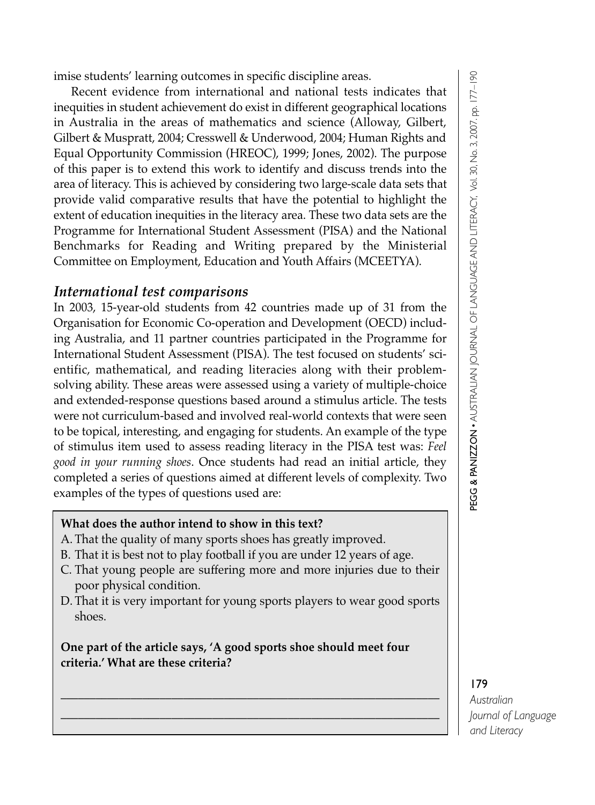imise students' learning outcomes in specific discipline areas.

Recent evidence from international and national tests indicates that inequities in student achievement do exist in different geographical locations in Australia in the areas of mathematics and science (Alloway, Gilbert, Gilbert & Muspratt, 2004; Cresswell & Underwood, 2004; Human Rights and Equal Opportunity Commission (HREOC), 1999; Jones, 2002). The purpose of this paper is to extend this work to identify and discuss trends into the area of literacy. This is achieved by considering two large-scale data sets that provide valid comparative results that have the potential to highlight the extent of education inequities in the literacy area. These two data sets are the Programme for International Student Assessment (PISA) and the National Benchmarks for Reading and Writing prepared by the Ministerial Committee on Employment, Education and Youth Affairs (MCEETYA).

### *International test comparisons*

In 2003, 15-year-old students from 42 countries made up of 31 from the Organisation for Economic Co-operation and Development (OECD) including Australia, and 11 partner countries participated in the Programme for International Student Assessment (PISA). The test focused on students' scientific, mathematical, and reading literacies along with their problemsolving ability. These areas were assessed using a variety of multiple-choice and extended-response questions based around a stimulus article. The tests were not curriculum-based and involved real-world contexts that were seen to be topical, interesting, and engaging for students. An example of the type of stimulus item used to assess reading literacy in the PISA test was: *Feel good in your running shoes*. Once students had read an initial article, they completed a series of questions aimed at different levels of complexity. Two examples of the types of questions used are:

#### **What does the author intend to show in this text?**

- A. That the quality of many sports shoes has greatly improved.
- B. That it is best not to play football if you are under 12 years of age.
- C. That young people are suffering more and more injuries due to their poor physical condition.
- D. That it is very important for young sports players to wear good sports shoes.

\_\_\_\_\_\_\_\_\_\_\_\_\_\_\_\_\_\_\_\_\_\_\_\_\_\_\_\_\_\_\_\_\_\_\_\_\_\_\_\_\_\_\_\_\_\_\_\_\_\_\_\_\_\_\_\_\_\_\_\_\_\_\_\_\_ \_\_\_\_\_\_\_\_\_\_\_\_\_\_\_\_\_\_\_\_\_\_\_\_\_\_\_\_\_\_\_\_\_\_\_\_\_\_\_\_\_\_\_\_\_\_\_\_\_\_\_\_\_\_\_\_\_\_\_\_\_\_\_\_\_

#### **One part of the article says, 'A good sports shoe should meet four criteria.' What are these criteria?**

# PEG G & PA NIZ Z O N • AUSTRALIA Z<br>N JOU<br>Z AL OF LA N GUA GE A N D LITERA CY, Vol. 30, No. 3, 2007. pp. 177–190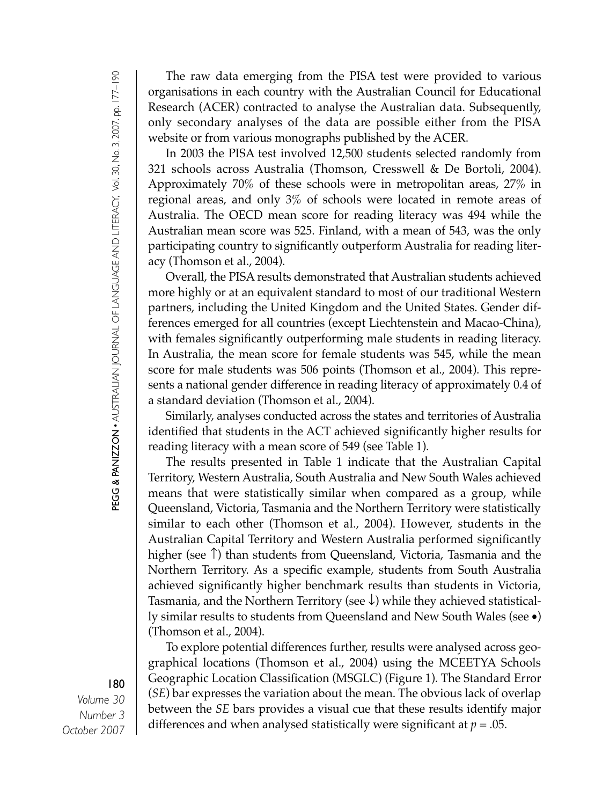The raw data emerging from the PISA test were provided to various organisations in each country with the Australian Council for Educational Research (ACER) contracted to analyse the Australian data. Subsequently, only secondary analyses of the data are possible either from the PISA website or from various monographs published by the ACER.

In 2003 the PISA test involved 12,500 students selected randomly from 321 schools across Australia (Thomson, Cresswell & De Bortoli, 2004). Approximately 70% of these schools were in metropolitan areas, 27% in regional areas, and only 3% of schools were located in remote areas of Australia. The OECD mean score for reading literacy was 494 while the Australian mean score was 525. Finland, with a mean of 543, was the only participating country to significantly outperform Australia for reading literacy (Thomson et al., 2004).

Overall, the PISA results demonstrated that Australian students achieved more highly or at an equivalent standard to most of our traditional Western partners, including the United Kingdom and the United States. Gender differences emerged for all countries (except Liechtenstein and Macao-China), with females significantly outperforming male students in reading literacy. In Australia, the mean score for female students was 545, while the mean score for male students was 506 points (Thomson et al., 2004). This represents a national gender difference in reading literacy of approximately 0.4 of a standard deviation (Thomson et al., 2004).

Similarly, analyses conducted across the states and territories of Australia identified that students in the ACT achieved significantly higher results for reading literacy with a mean score of 549 (see Table 1).

The results presented in Table 1 indicate that the Australian Capital Territory, Western Australia, South Australia and New South Wales achieved means that were statistically similar when compared as a group, while Queensland, Victoria, Tasmania and the Northern Territory were statistically similar to each other (Thomson et al., 2004). However, students in the Australian Capital Territory and Western Australia performed significantly higher (see ↑) than students from Queensland, Victoria, Tasmania and the Northern Territory. As a specific example, students from South Australia achieved significantly higher benchmark results than students in Victoria, Tasmania, and the Northern Territory (see  $\downarrow$ ) while they achieved statistically similar results to students from Queensland and New South Wales (see •) (Thomson et al., 2004).

To explore potential differences further, results were analysed across geographical locations (Thomson et al., 2004) using the MCEETYA Schools Geographic Location Classification (MSGLC) (Figure 1). The Standard Error (*SE*) bar expresses the variation about the mean. The obvious lack of overlap between the *SE* bars provides a visual cue that these results identify major differences and when analysed statistically were significant at  $p = .05$ .

# PEG G & PA NIZ Z O N • AUSTRALIA Z<br>N JOUR<br>Z AL OF LA N GUA GE A N D LITERA CY, Vol. 30, No. 3, 2007. pp. 177–190

#### 180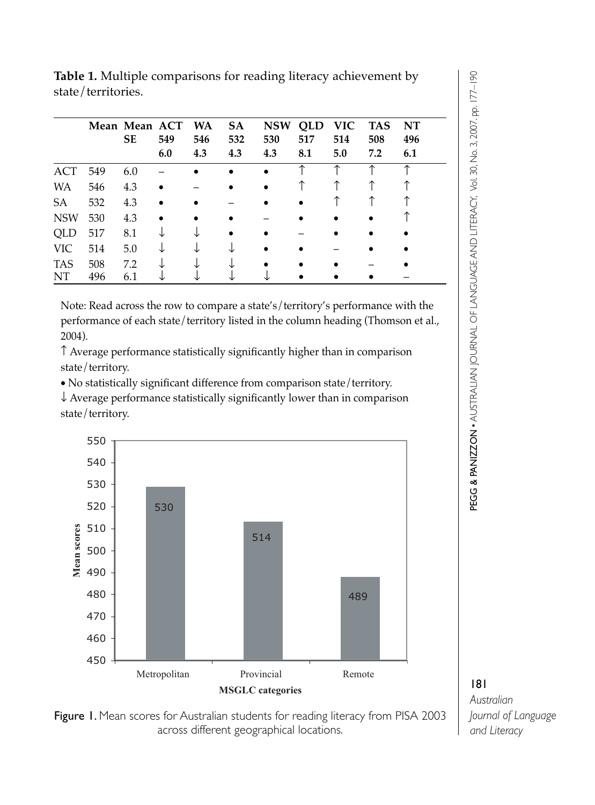**Table 1.** Multiple comparisons for reading literacy achievement by state/territories.

|            |     | Mean Mean ACT |     | WA  | SA  | <b>NSW</b> | QLD | VIC. | <b>TAS</b> | NT  |
|------------|-----|---------------|-----|-----|-----|------------|-----|------|------------|-----|
|            |     | <b>SE</b>     | 549 | 546 | 532 | 530        | 517 | 514  | 508        | 496 |
|            |     |               | 6.0 | 4.3 | 4.3 | 4.3        | 8.1 | 5.0  | 7.2        | 6.1 |
| ACT        | 549 | 6.0           |     |     |     |            |     |      |            |     |
| <b>WA</b>  | 546 | 4.3           |     |     |     |            |     |      |            |     |
| <b>SA</b>  | 532 | 4.3           |     |     |     |            |     |      |            |     |
| <b>NSW</b> | 530 | 4.3           |     |     |     |            |     |      |            |     |
| QLD        | 517 | 8.1           |     |     |     |            |     |      |            |     |
| VIC        | 514 | 5.0           |     |     |     |            |     |      |            |     |
| <b>TAS</b> | 508 | 7.2           |     |     |     |            |     |      |            |     |
| NT         | 496 | 6.1           |     |     |     |            |     |      |            |     |

Note: Read across the row to compare a state's/territory's performance with the performance of each state/territory listed in the column heading (Thomson et al., 2004).

↑ Average performance statistically significantly higher than in comparison state/territory.

• No statistically significant difference from comparison state/territory.

↓ Average performance statistically significantly lower than in comparison state/territory.





PEG G & PA NIZ Z O N • AUSTRALIA Z<br>N JOU<br>Z AL OF LA N GUA GE A N D LITERA CY, Vol. 30, No. 3, 2007. pp. 177–190

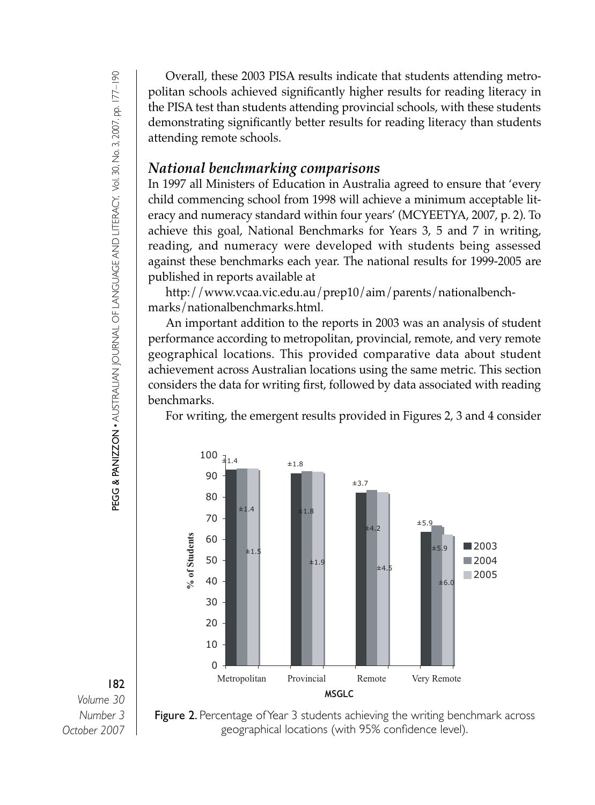Overall, these 2003 PISA results indicate that students attending metropolitan schools achieved significantly higher results for reading literacy in the PISA test than students attending provincial schools, with these students demonstrating significantly better results for reading literacy than students attending remote schools.

#### *National benchmarking comparisons*

In 1997 all Ministers of Education in Australia agreed to ensure that 'every child commencing school from 1998 will achieve a minimum acceptable literacy and numeracy standard within four years' (MCYEETYA, 2007, p. 2). To achieve this goal, National Benchmarks for Years 3, 5 and 7 in writing, reading, and numeracy were developed with students being assessed against these benchmarks each year. The national results for 1999-2005 are published in reports available at

http://www.vcaa.vic.edu.au/prep10/aim/parents/nationalbenchmarks/nationalbenchmarks.html.

An important addition to the reports in 2003 was an analysis of student performance according to metropolitan, provincial, remote, and very remote geographical locations. This provided comparative data about student achievement across Australian locations using the same metric. This section considers the data for writing first, followed by data associated with reading benchmarks.

For writing, the emergent results provided in Figures 2, 3 and 4 consider



182 *Volume 30 Number 3 October 2007*

PEG G & PA

NIZ Z O N

• AUSTRALIA

Z<br>N JOUR<br>Z

AL OF LA

N GUA

GE A N D LITERA

CY, Vol. 30, No. 3, 2007. pp. 177–190

**Figure 2.** Percentage of Year 3 students achieving the writing benchmark across geographical locations (with 95% confidence level).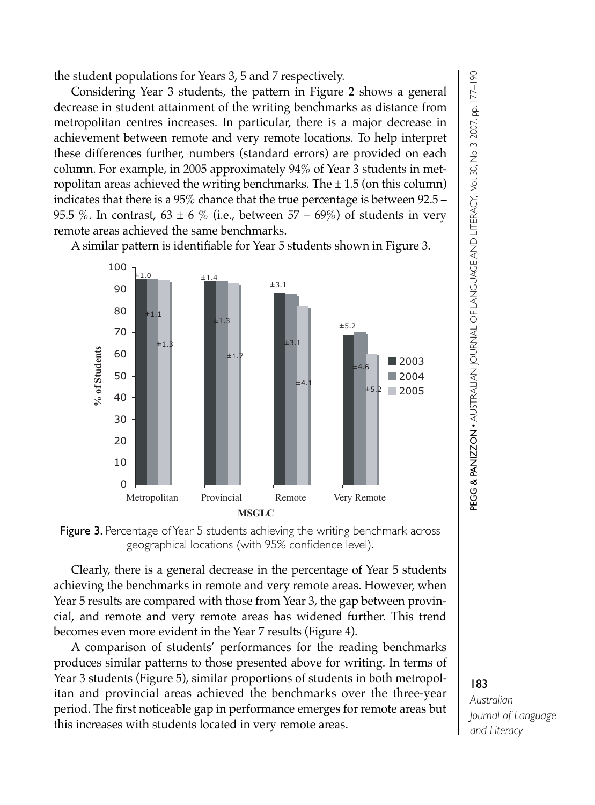the student populations for Years 3, 5 and 7 respectively.

Considering Year 3 students, the pattern in Figure 2 shows a general decrease in student attainment of the writing benchmarks as distance from metropolitan centres increases. In particular, there is a major decrease in achievement between remote and very remote locations. To help interpret these differences further, numbers (standard errors) are provided on each column. For example, in 2005 approximately 94% of Year 3 students in metropolitan areas achieved the writing benchmarks. The  $\pm$  1.5 (on this column) indicates that there is a 95% chance that the true percentage is between 92.5 – 95.5 %. In contrast, 63  $\pm$  6 % (i.e., between 57 – 69%) of students in very remote areas achieved the same benchmarks.

A similar pattern is identifiable for Year 5 students shown in Figure 3.



Figure 3. Percentage of Year 5 students achieving the writing benchmark across geographical locations (with 95% confidence level).

Clearly, there is a general decrease in the percentage of Year 5 students achieving the benchmarks in remote and very remote areas. However, when Year 5 results are compared with those from Year 3, the gap between provincial, and remote and very remote areas has widened further. This trend becomes even more evident in the Year 7 results (Figure 4).

A comparison of students' performances for the reading benchmarks produces similar patterns to those presented above for writing. In terms of Year 3 students (Figure 5), similar proportions of students in both metropolitan and provincial areas achieved the benchmarks over the three-year period. The first noticeable gap in performance emerges for remote areas but this increases with students located in very remote areas.

# PEG G & PA NIZ Z O N • AUSTRALIA Z<br>N JOU<br>Z AL OF LA N GUA GE A N D LITERA CY, Vol. 30, No. 3, 2007. pp. 177–190

#### 183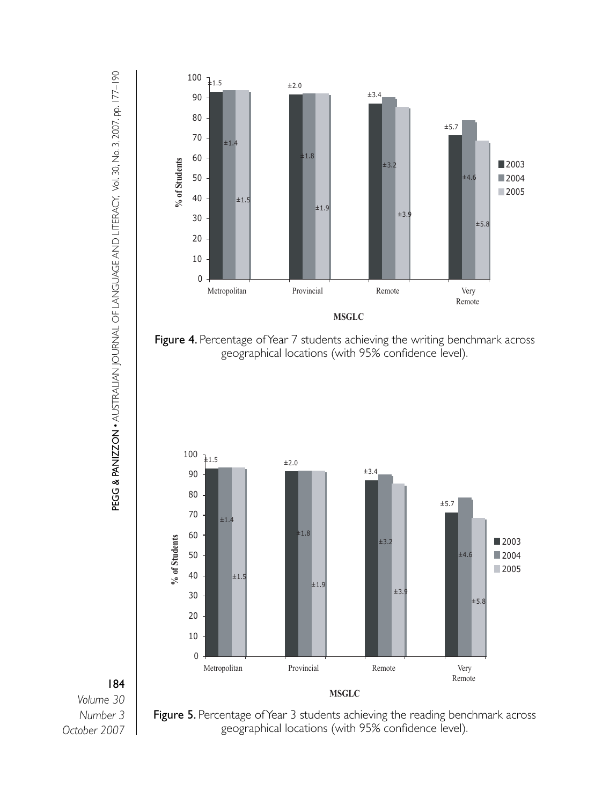

PEG G & PA NIZ Z O N • AUSTRALIA Z<br>N JOUR<br>Z AL OF LA N GUA GE A N D LITERA CY, Vol. 30, No. 3, 2007. pp. 177–190

184 *Volume 30 Number 3 October 2007*

Figure 5. Percentage of Year 3 students achieving the reading benchmark across geographical locations (with 95% confidence level).

**MSGLC**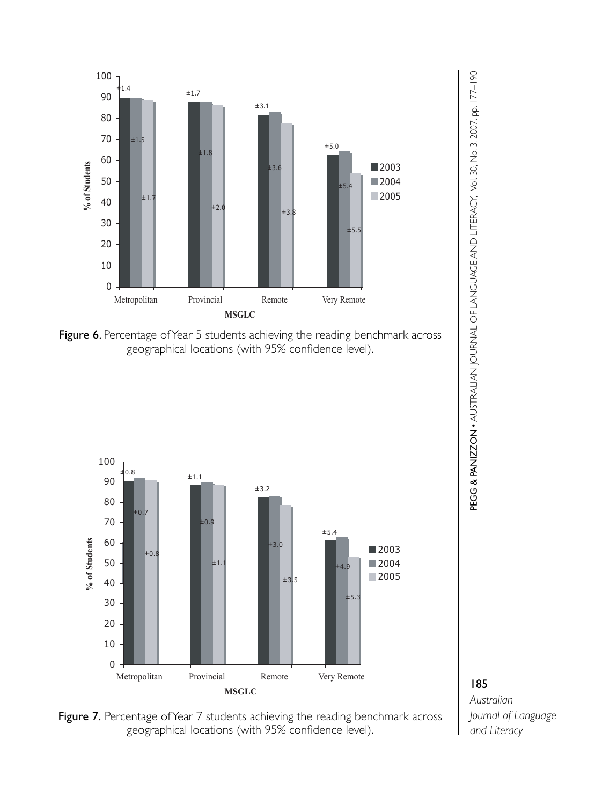

Figure 6. Percentage of Year 5 students achieving the reading benchmark across geographical locations (with 95% confidence level).



Figure 7. Percentage of Year 7 students achieving the reading benchmark across geographical locations (with 95% confidence level).



185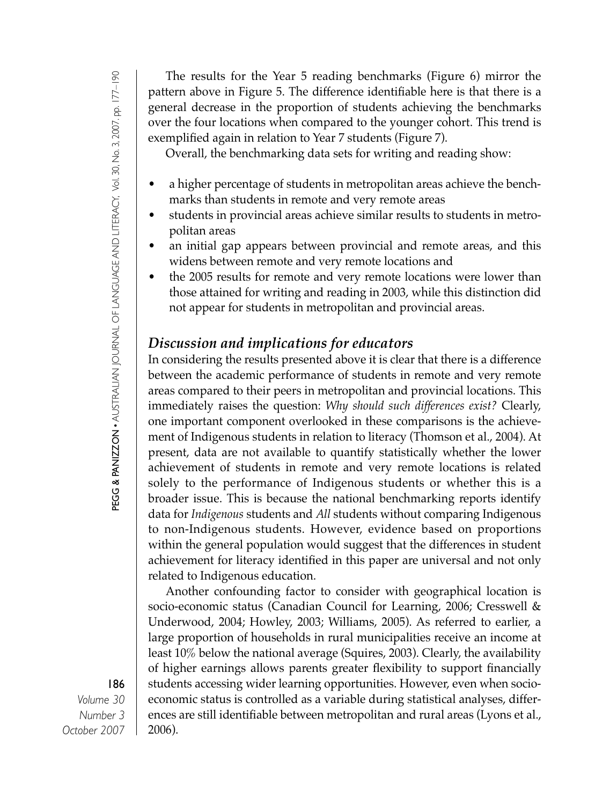The results for the Year 5 reading benchmarks (Figure 6) mirror the pattern above in Figure 5. The difference identifiable here is that there is a general decrease in the proportion of students achieving the benchmarks over the four locations when compared to the younger cohort. This trend is exemplified again in relation to Year 7 students (Figure 7).

Overall, the benchmarking data sets for writing and reading show:

- a higher percentage of students in metropolitan areas achieve the benchmarks than students in remote and very remote areas
- students in provincial areas achieve similar results to students in metropolitan areas
- an initial gap appears between provincial and remote areas, and this widens between remote and very remote locations and
- the 2005 results for remote and very remote locations were lower than those attained for writing and reading in 2003, while this distinction did not appear for students in metropolitan and provincial areas.

### *Discussion and implications for educators*

In considering the results presented above it is clear that there is a difference between the academic performance of students in remote and very remote areas compared to their peers in metropolitan and provincial locations. This immediately raises the question: *Why should such differences exist?* Clearly, one important component overlooked in these comparisons is the achievement of Indigenous students in relation to literacy (Thomson et al., 2004). At present, data are not available to quantify statistically whether the lower achievement of students in remote and very remote locations is related solely to the performance of Indigenous students or whether this is a broader issue. This is because the national benchmarking reports identify data for *Indigenous* students and *All* students without comparing Indigenous to non-Indigenous students. However, evidence based on proportions within the general population would suggest that the differences in student achievement for literacy identified in this paper are universal and not only related to Indigenous education.

Another confounding factor to consider with geographical location is socio-economic status (Canadian Council for Learning, 2006; Cresswell & Underwood, 2004; Howley, 2003; Williams, 2005). As referred to earlier, a large proportion of households in rural municipalities receive an income at least 10% below the national average (Squires, 2003). Clearly, the availability of higher earnings allows parents greater flexibility to support financially students accessing wider learning opportunities. However, even when socioeconomic status is controlled as a variable during statistical analyses, differences are still identifiable between metropolitan and rural areas (Lyons et al., 2006).

PEG G & PA NIZ Z O N • AUSTRALIA Z<br>N JOUR<br>Z AL OF LA N GUA GE A N D LITERA CY, Vol. 30, No. 3, 2007. pp. 177–190

#### 186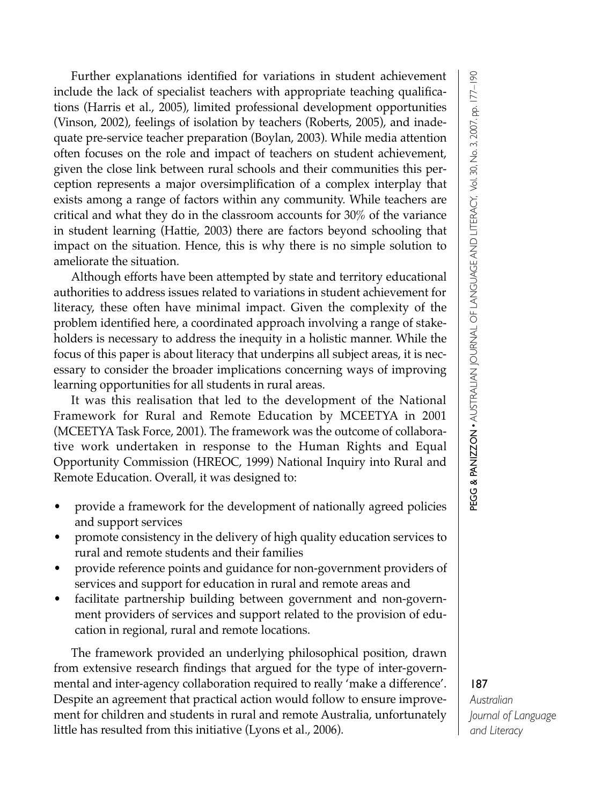Further explanations identified for variations in student achievement include the lack of specialist teachers with appropriate teaching qualifications (Harris et al., 2005), limited professional development opportunities (Vinson, 2002), feelings of isolation by teachers (Roberts, 2005), and inadequate pre-service teacher preparation (Boylan, 2003). While media attention often focuses on the role and impact of teachers on student achievement, given the close link between rural schools and their communities this perception represents a major oversimplification of a complex interplay that exists among a range of factors within any community. While teachers are critical and what they do in the classroom accounts for 30% of the variance in student learning (Hattie, 2003) there are factors beyond schooling that impact on the situation. Hence, this is why there is no simple solution to ameliorate the situation.

Although efforts have been attempted by state and territory educational authorities to address issues related to variations in student achievement for literacy, these often have minimal impact. Given the complexity of the problem identified here, a coordinated approach involving a range of stakeholders is necessary to address the inequity in a holistic manner. While the focus of this paper is about literacy that underpins all subject areas, it is necessary to consider the broader implications concerning ways of improving learning opportunities for all students in rural areas.

It was this realisation that led to the development of the National Framework for Rural and Remote Education by MCEETYA in 2001 (MCEETYA Task Force, 2001). The framework was the outcome of collaborative work undertaken in response to the Human Rights and Equal Opportunity Commission (HREOC, 1999) National Inquiry into Rural and Remote Education. Overall, it was designed to:

- provide a framework for the development of nationally agreed policies and support services
- promote consistency in the delivery of high quality education services to rural and remote students and their families
- provide reference points and guidance for non-government providers of services and support for education in rural and remote areas and
- facilitate partnership building between government and non-government providers of services and support related to the provision of education in regional, rural and remote locations.

The framework provided an underlying philosophical position, drawn from extensive research findings that argued for the type of inter-governmental and inter-agency collaboration required to really 'make a difference'. Despite an agreement that practical action would follow to ensure improvement for children and students in rural and remote Australia, unfortunately little has resulted from this initiative (Lyons et al., 2006).

PEG G & PA NIZ Z O N • AUSTRALIA Z<br>N JOU<br>Z AL OF LA N GUA GE A N D LITERA CY, Vol. 30, No. 3, 2007. pp. 177–190

#### 187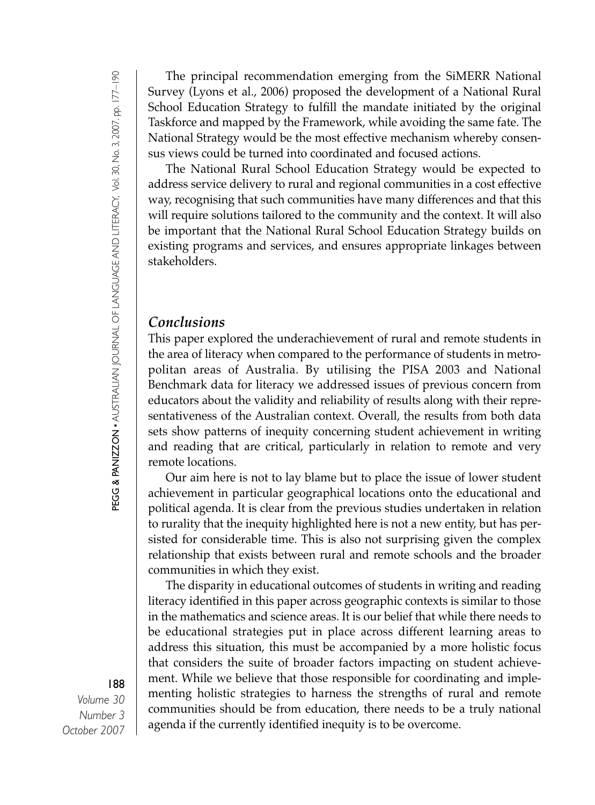PEG G & PA NIZ Z O N • AUSTRALIA Z<br>N JOUR<br>Z AL OF LA N GUA GE A N D LITERA CY, Vol. 30, No. 3, 2007. pp. 177–190

#### 188

*Volume 30 Number 3 October 2007*

The principal recommendation emerging from the SiMERR National Survey (Lyons et al., 2006) proposed the development of a National Rural School Education Strategy to fulfill the mandate initiated by the original Taskforce and mapped by the Framework, while avoiding the same fate. The National Strategy would be the most effective mechanism whereby consensus views could be turned into coordinated and focused actions.

The National Rural School Education Strategy would be expected to address service delivery to rural and regional communities in a cost effective way, recognising that such communities have many differences and that this will require solutions tailored to the community and the context. It will also be important that the National Rural School Education Strategy builds on existing programs and services, and ensures appropriate linkages between stakeholders.

### *Conclusions*

This paper explored the underachievement of rural and remote students in the area of literacy when compared to the performance of students in metropolitan areas of Australia. By utilising the PISA 2003 and National Benchmark data for literacy we addressed issues of previous concern from educators about the validity and reliability of results along with their representativeness of the Australian context. Overall, the results from both data sets show patterns of inequity concerning student achievement in writing and reading that are critical, particularly in relation to remote and very remote locations.

Our aim here is not to lay blame but to place the issue of lower student achievement in particular geographical locations onto the educational and political agenda. It is clear from the previous studies undertaken in relation to rurality that the inequity highlighted here is not a new entity, but has persisted for considerable time. This is also not surprising given the complex relationship that exists between rural and remote schools and the broader communities in which they exist.

The disparity in educational outcomes of students in writing and reading literacy identified in this paper across geographic contexts is similar to those in the mathematics and science areas. It is our belief that while there needs to be educational strategies put in place across different learning areas to address this situation, this must be accompanied by a more holistic focus that considers the suite of broader factors impacting on student achievement. While we believe that those responsible for coordinating and implementing holistic strategies to harness the strengths of rural and remote communities should be from education, there needs to be a truly national agenda if the currently identified inequity is to be overcome.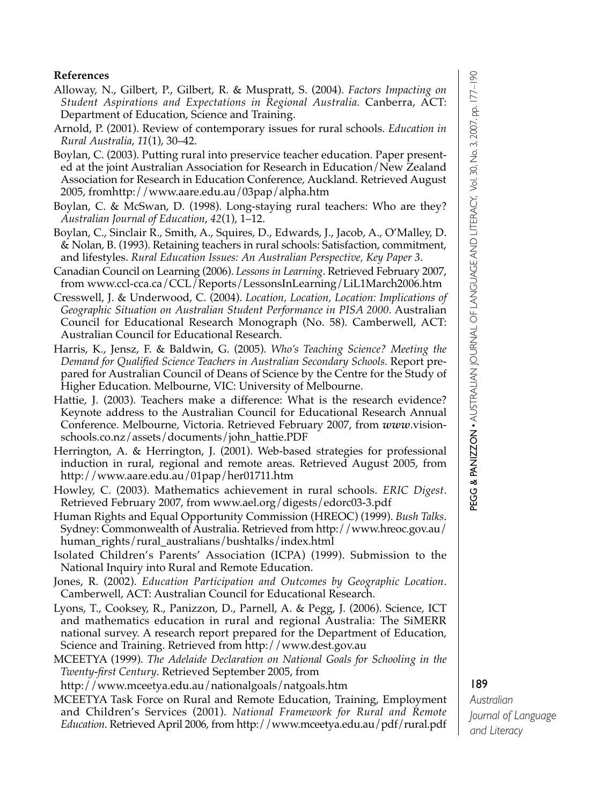# PEG G & PA NIZ Z O N • AUSTRALIA Z<br>N JOU<br>Z AL OF LA N GUA GE A N D LITERA CY, Vol. 30, No. 3, 2007. pp. 177–190

#### **References**

- Alloway, N., Gilbert, P., Gilbert, R. & Muspratt, S. (2004). *Factors Impacting on Student Aspirations and Expectations in Regional Australia.* Canberra, ACT: Department of Education, Science and Training.
- Arnold, P. (2001). Review of contemporary issues for rural schools. *Education in Rural Australia*, *11*(1), 30–42.
- Boylan, C. (2003). Putting rural into preservice teacher education. Paper presented at the joint Australian Association for Research in Education/New Zealand Association for Research in Education Conference, Auckland. Retrieved August 2005, fromhttp://www.aare.edu.au/03pap/alpha.htm
- Boylan, C. & McSwan, D. (1998). Long-staying rural teachers: Who are they? *Australian Journal of Education*, *42*(1), 1–12.
- Boylan, C., Sinclair R., Smith, A., Squires, D., Edwards, J., Jacob, A., O'Malley, D. & Nolan, B. (1993). Retaining teachers in rural schools: Satisfaction, commitment, and lifestyles. *Rural Education Issues: An Australian Perspective, Key Paper 3*.
- Canadian Council on Learning (2006). *Lessons in Learning*. Retrieved February 2007, from www.ccl-cca.ca/CCL/Reports/LessonsInLearning/LiL1March2006.htm
- Cresswell, J. & Underwood, C. (2004). *Location, Location, Location: Implications of Geographic Situation on Australian Student Performance in PISA 2000*. Australian Council for Educational Research Monograph (No. 58). Camberwell, ACT: Australian Council for Educational Research.
- Harris, K., Jensz, F. & Baldwin, G. (2005). *Who's Teaching Science? Meeting the Demand for Qualified Science Teachers in Australian Secondary Schools.* Report prepared for Australian Council of Deans of Science by the Centre for the Study of Higher Education. Melbourne, VIC: University of Melbourne.
- Hattie, J. (2003). Teachers make a difference: What is the research evidence? Keynote address to the Australian Council for Educational Research Annual Conference. Melbourne, Victoria. Retrieved February 2007, from *www*.visionschools.co.nz/assets/documents/john\_hattie.PDF
- Herrington, A. & Herrington, J. (2001). Web-based strategies for professional induction in rural, regional and remote areas. Retrieved August 2005, from http://www.aare.edu.au/01pap/her01711.htm
- Howley, C. (2003). Mathematics achievement in rural schools. *ERIC Digest*. Retrieved February 2007, from www.ael.org/digests/edorc03-3.pdf
- Human Rights and Equal Opportunity Commission (HREOC) (1999). *Bush Talks*. Sydney: Commonwealth of Australia. Retrieved from http://www.hreoc.gov.au/ human\_rights/rural\_australians/bushtalks/index.html
- Isolated Children's Parents' Association (ICPA) (1999). Submission to the National Inquiry into Rural and Remote Education.
- Jones, R. (2002). *Education Participation and Outcomes by Geographic Location*. Camberwell, ACT: Australian Council for Educational Research.
- Lyons, T., Cooksey, R., Panizzon, D., Parnell, A. & Pegg, J. (2006). Science, ICT and mathematics education in rural and regional Australia: The SiMERR national survey. A research report prepared for the Department of Education, Science and Training. Retrieved from http://www.dest.gov.au
- MCEETYA (1999). *The Adelaide Declaration on National Goals for Schooling in the Twenty-first Century*. Retrieved September 2005, from
- http://www.mceetya.edu.au/nationalgoals/natgoals.htm
- MCEETYA Task Force on Rural and Remote Education, Training, Employment and Children's Services (2001). *National Framework for Rural and Remote Education*. Retrieved April 2006, from http://www.mceetya.edu.au/pdf/rural.pdf